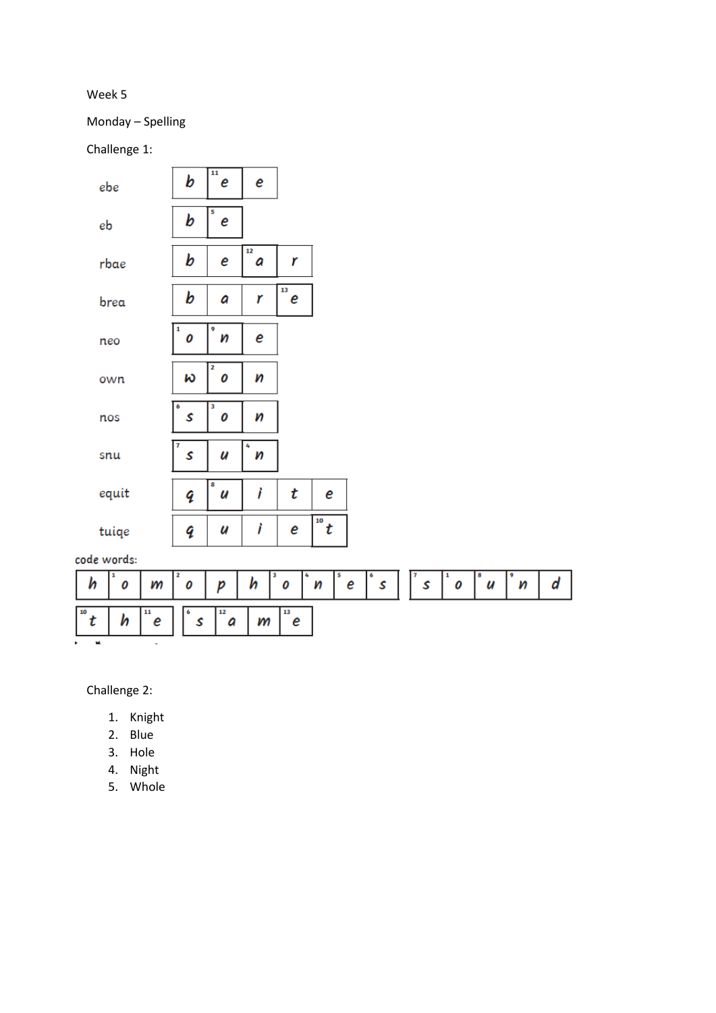Week 5

Monday – Spelling

Challenge 1:

| ebe                             | 11<br>b     | e<br>е       |              |        |             |                  |
|---------------------------------|-------------|--------------|--------------|--------|-------------|------------------|
| eb                              | 5<br>b      | e            |              |        |             |                  |
| rbae                            | b           | 12<br>e<br>a | r            |        |             |                  |
| brea                            | b           | a<br>r       | 13<br>e      |        |             |                  |
| neo                             | 1<br>9<br>0 | n<br>е       |              |        |             |                  |
| own                             | 2<br>w      | n<br>0       |              |        |             |                  |
| nos                             | 3<br>6<br>S | n<br>0       |              |        |             |                  |
| snu                             | S           | 4<br>U<br>n  |              |        |             |                  |
| equit                           | 8<br>q      | Ì<br>u       | t<br>e       |        |             |                  |
| tuiqe                           | q           | Ì<br>u       | 10<br>t<br>e |        |             |                  |
| code words:                     |             |              |              |        |             |                  |
| 1<br>h<br>0<br>m                | 2<br>0      | 3<br>h<br>p  | 5<br>0<br>n  | e<br>S | 1<br>S<br>0 | 9<br>8<br>n<br>u |
| 10<br>11<br>h<br>t<br>e<br>- 14 | 6<br>S      | 12<br>m<br>a | 13<br>e      |        |             |                  |

d

Challenge 2:

- 1. Knight
- 2. Blue
- 3. Hole
- 4. Night
- 5. Whole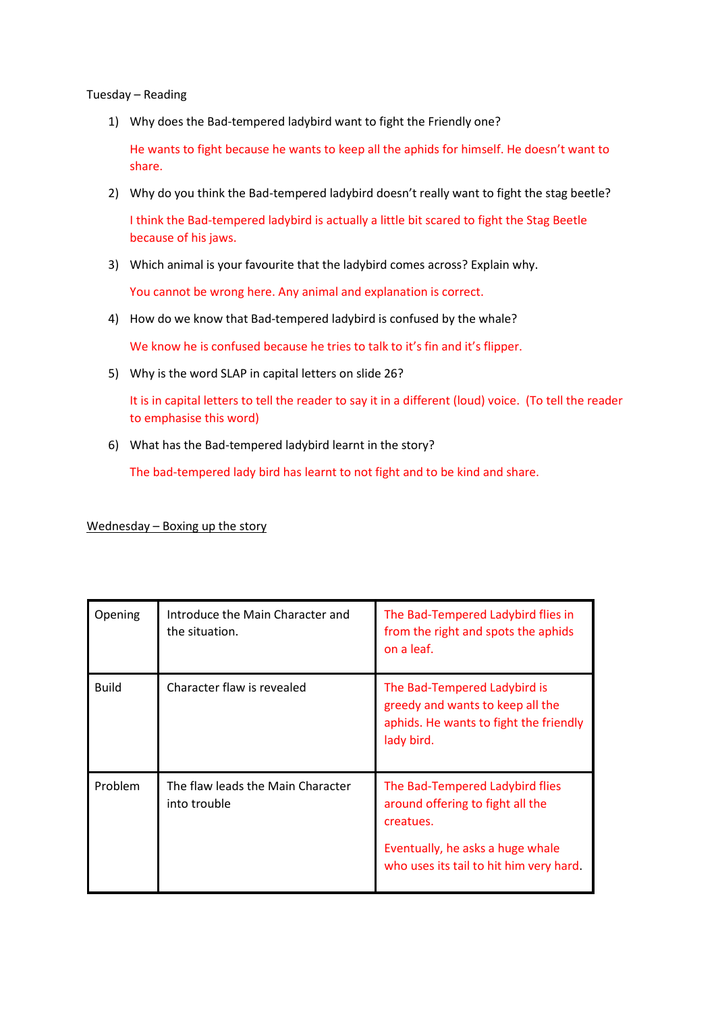## Tuesday – Reading

1) Why does the Bad-tempered ladybird want to fight the Friendly one?

He wants to fight because he wants to keep all the aphids for himself. He doesn't want to share.

2) Why do you think the Bad-tempered ladybird doesn't really want to fight the stag beetle?

I think the Bad-tempered ladybird is actually a little bit scared to fight the Stag Beetle because of his jaws.

3) Which animal is your favourite that the ladybird comes across? Explain why.

You cannot be wrong here. Any animal and explanation is correct.

4) How do we know that Bad-tempered ladybird is confused by the whale?

We know he is confused because he tries to talk to it's fin and it's flipper.

5) Why is the word SLAP in capital letters on slide 26?

It is in capital letters to tell the reader to say it in a different (loud) voice. (To tell the reader to emphasise this word)

6) What has the Bad-tempered ladybird learnt in the story?

The bad-tempered lady bird has learnt to not fight and to be kind and share.

Wednesday – Boxing up the story

| Opening      | Introduce the Main Character and<br>the situation. | The Bad-Tempered Ladybird flies in<br>from the right and spots the aphids<br>on a leaf.                                                                         |
|--------------|----------------------------------------------------|-----------------------------------------------------------------------------------------------------------------------------------------------------------------|
| <b>Build</b> | Character flaw is revealed                         | The Bad-Tempered Ladybird is<br>greedy and wants to keep all the<br>aphids. He wants to fight the friendly<br>lady bird.                                        |
| Problem      | The flaw leads the Main Character<br>into trouble  | The Bad-Tempered Ladybird flies<br>around offering to fight all the<br>creatues.<br>Eventually, he asks a huge whale<br>who uses its tail to hit him very hard. |